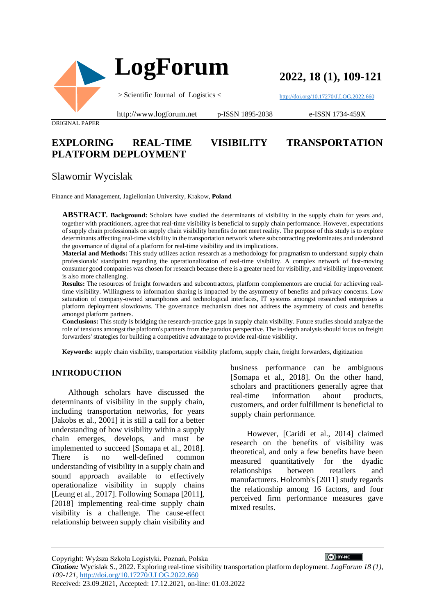

**2022, 18 (1), 109-121**

<http://doi.org/10.17270/J.LOG.2022.660>

ORIGINAL PAPER

http://www.logforum.net p-ISSN 1895-2038

#### e-ISSN 1734-459X

# **EXPLORING REAL-TIME VISIBILITY TRANSPORTATION PLATFORM DEPLOYMENT**

#### Slawomir Wycislak

Finance and Management, Jagiellonian University, Krakow, **Poland**

**ABSTRACT. Background:** Scholars have studied the determinants of visibility in the supply chain for years and, together with practitioners, agree that real-time visibility is beneficial to supply chain performance. However, expectations of supply chain professionals on supply chain visibility benefits do not meet reality. The purpose of this study is to explore determinants affecting real-time visibility in the transportation network where subcontracting predominates and understand the governance of digital of a platform for real-time visibility and its implications.

**Material and Methods:** This study utilizes action research as a methodology for pragmatism to understand supply chain professionals' standpoint regarding the operationalization of real-time visibility. A complex network of fast-moving consumer good companies was chosen for research because there is a greater need for visibility, and visibility improvement is also more challenging.

**Results:** The resources of freight forwarders and subcontractors, platform complementors are crucial for achieving realtime visibility. Willingness to information sharing is impacted by the asymmetry of benefits and privacy concerns. Low saturation of company-owned smartphones and technological interfaces, IT systems amongst researched enterprises a platform deployment slowdowns. The governance mechanism does not address the asymmetry of costs and benefits amongst platform partners.

**Conclusions:** This study is bridging the research-practice gaps in supply chain visibility. Future studies should analyze the role of tensions amongst the platform's partners from the paradox perspective. The in-depth analysis should focus on freight forwarders' strategies for building a competitive advantage to provide real-time visibility.

**Keywords:** supply chain visibility, transportation visibility platform, supply chain, freight forwarders, digitization

#### **INTRODUCTION**

Although scholars have discussed the determinants of visibility in the supply chain, including transportation networks, for years [Jakobs et al., 2001] it is still a call for a better understanding of how visibility within a supply chain emerges, develops, and must be implemented to succeed [Somapa et al., 2018]. There is no well-defined common understanding of visibility in a supply chain and sound approach available to effectively operationalize visibility in supply chains [Leung et al., 2017]. Following Somapa [2011], [2018] implementing real-time supply chain visibility is a challenge. The cause-effect relationship between supply chain visibility and business performance can be ambiguous [Somapa et al., 2018]. On the other hand, scholars and practitioners generally agree that real-time information about products, customers, and order fulfillment is beneficial to supply chain performance.

However, [Caridi et al., 2014] claimed research on the benefits of visibility was theoretical, and only a few benefits have been measured quantitatively for the dyadic relationships between retailers and manufacturers. Holcomb's [2011] study regards the relationship among 16 factors, and four perceived firm performance measures gave mixed results.

 $\left[$  (cc) BY-NC  $\right]$ Copyright: Wyższa Szkoła Logistyki, Poznań, Polska *Citation:* Wycislak S., 2022. Exploring real-time visibility transportation platform deployment. *LogForum 18 (1), 109-121,* <http://doi.org/10.17270/J.LOG.2022.660> Received: 23.09.2021, Accepted: 17.12.2021, on-line: 01.03.2022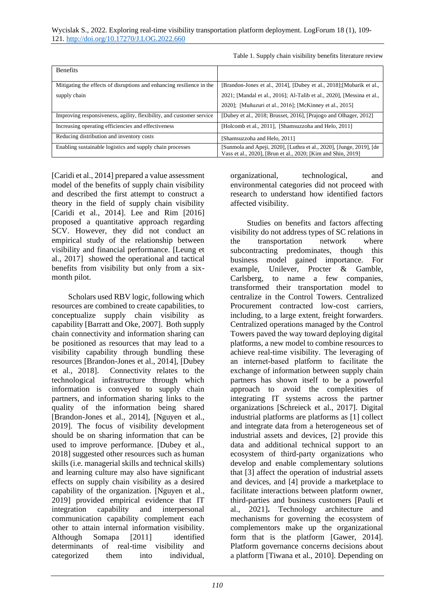| <b>Benefits</b>                                                       |                                                                                                                                      |  |
|-----------------------------------------------------------------------|--------------------------------------------------------------------------------------------------------------------------------------|--|
| Mitigating the effects of disruptions and enhancing resilience in the | [Brandon-Jones et al., 2014], [Dubey et al., 2018]; [Mubarik et al.,                                                                 |  |
| supply chain                                                          | 2021; [Mandal et al., 2016]; Al-Talib et al., 2020], [Messina et al.,                                                                |  |
|                                                                       | 2020]; [Muñuzuri et al., 2016]; [McKinney et al., 2015]                                                                              |  |
| Improving responsiveness, agility, flexibility, and customer service  | [Dubey et al., 2018; Brusset, 2016], [Prajogo and Olhager, 2012]                                                                     |  |
| Increasing operating efficiencies and effectiveness                   | [Holcomb et al., 2011], [Shamsuzzoha and Helo, 2011]                                                                                 |  |
| Reducing distribution and inventory costs                             | [Shamsuzzoha and Helo. 2011]                                                                                                         |  |
| Enabling sustainable logistics and supply chain processes             | [Sunmola and Apeji, 2020], [Luthra et al., 2020], [Junge, 2019], [de<br>Vass et al., 2020], [Brun et al., 2020; [Kim and Shin, 2019] |  |

Table 1. Supply chain visibility benefits literature review

[Caridi et al., 2014] prepared a value assessment model of the benefits of supply chain visibility and described the first attempt to construct a theory in the field of supply chain visibility [Caridi et al., 2014]. Lee and Rim [2016] proposed a quantitative approach regarding SCV. However, they did not conduct an empirical study of the relationship between visibility and financial performance. [Leung et al., 2017] showed the operational and tactical benefits from visibility but only from a sixmonth pilot.

Scholars used RBV logic, following which resources are combined to create capabilities, to conceptualize supply chain visibility as capability [Barratt and Oke, 2007]. Both supply chain connectivity and information sharing can be positioned as resources that may lead to a visibility capability through bundling these resources [Brandon-Jones et al., 2014], [Dubey et al., 2018]. Connectivity relates to the technological infrastructure through which information is conveyed to supply chain partners, and information sharing links to the quality of the information being shared [Brandon-Jones et al., 2014], [Nguyen et al., 2019]. The focus of visibility development should be on sharing information that can be used to improve performance. [Dubey et al., 2018] suggested other resources such as human skills (i.e. managerial skills and technical skills) and learning culture may also have significant effects on supply chain visibility as a desired capability of the organization. [Nguyen et al., 2019] provided empirical evidence that IT integration capability and interpersonal communication capability complement each other to attain internal information visibility. Although Somapa [2011] identified determinants of real-time visibility and categorized them into individual,

organizational, technological, and environmental categories did not proceed with research to understand how identified factors affected visibility.

Studies on benefits and factors affecting visibility do not address types of SC relations in the transportation network where subcontracting predominates, though this business model gained importance. For example, Unilever, Procter & Gamble, Carlsberg, to name a few companies, transformed their transportation model to centralize in the Control Towers. Centralized Procurement contracted low-cost carriers, including, to a large extent, freight forwarders. Centralized operations managed by the Control Towers paved the way toward deploying digital platforms, a new model to combine resources to achieve real-time visibility. The leveraging of an internet‐based platform to facilitate the exchange of information between supply chain partners has shown itself to be a powerful approach to avoid the complexities of integrating IT systems across the partner organizations [Schreieck et al., 2017]. Digital industrial platforms are platforms as [1] collect and integrate data from a heterogeneous set of industrial assets and devices, [2] provide this data and additional technical support to an ecosystem of third-party organizations who develop and enable complementary solutions that [3] affect the operation of industrial assets and devices, and [4] provide a marketplace to facilitate interactions between platform owner, third-parties and business customers [Pauli et al., 2021]**.** Technology architecture and mechanisms for governing the ecosystem of complementors make up the organizational form that is the platform [Gawer, 2014]. Platform governance concerns decisions about a platform [Tiwana et al., 2010]. Depending on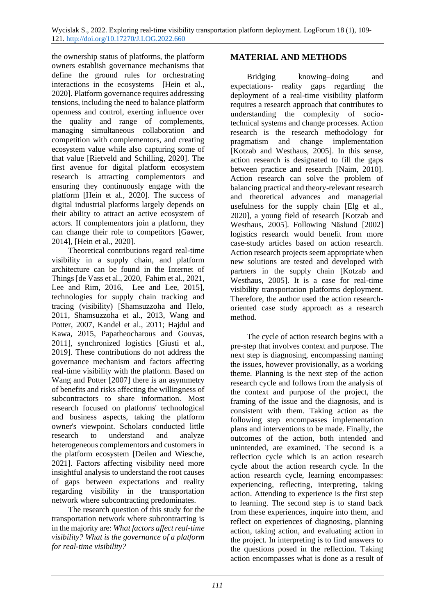the ownership status of platforms, the platform owners establish governance mechanisms that define the ground rules for orchestrating interactions in the ecosystems [Hein et al., 2020]. Platform governance requires addressing tensions, including the need to balance platform openness and control, exerting influence over the quality and range of complements, managing simultaneous collaboration and competition with complementors, and creating ecosystem value while also capturing some of that value [Rietveld and Schilling, 2020]. The first avenue for digital platform ecosystem research is attracting complementors and ensuring they continuously engage with the platform [Hein et al., 2020]. The success of digital industrial platforms largely depends on their ability to attract an active ecosystem of actors. If complementors join a platform, they can change their role to competitors [Gawer, 2014], [Hein et al., 2020].

Theoretical contributions regard real-time visibility in a supply chain, and platform architecture can be found in the Internet of Things [de Vass et al., 2020, Fahim et al., 2021, Lee and Rim, 2016, Lee and Lee, 2015], technologies for supply chain tracking and tracing (visibility) [Shamsuzzoha and Helo, 2011, Shamsuzzoha et al., 2013, Wang and Potter, 2007, Kandel et al., 2011; Hajdul and Kawa, 2015, Papatheocharous and Gouvas, 2011], synchronized logistics [Giusti et al., 2019]. These contributions do not address the governance mechanism and factors affecting real-time visibility with the platform. Based on Wang and Potter [2007] there is an asymmetry of benefits and risks affecting the willingness of subcontractors to share information. Most research focused on platforms' technological and business aspects, taking the platform owner's viewpoint. Scholars conducted little research to understand and analyze heterogeneous complementors and customers in the platform ecosystem [Deilen and Wiesche, 2021]. Factors affecting visibility need more insightful analysis to understand the root causes of gaps between expectations and reality regarding visibility in the transportation network where subcontracting predominates.

The research question of this study for the transportation network where subcontracting is in the majority are: *What factors affect real-time visibility? What is the governance of a platform for real-time visibility?*

# **MATERIAL AND METHODS**

Bridging knowing–doing and expectations- reality gaps regarding the deployment of a real-time visibility platform requires a research approach that contributes to understanding the complexity of sociotechnical systems and change processes. Action research is the research methodology for pragmatism and change implementation [Kotzab and Westhaus, 2005]. In this sense, action research is designated to fill the gaps between practice and research [Naim, 2010]. Action research can solve the problem of balancing practical and theory-relevant research and theoretical advances and managerial usefulness for the supply chain [Elg et al., 2020], a young field of research [Kotzab and Westhaus, 2005]. Following Näslund [2002] logistics research would benefit from more case-study articles based on action research. Action research projects seem appropriate when new solutions are tested and developed with partners in the supply chain [Kotzab and Westhaus, 2005]. It is a case for real-time visibility transportation platforms deployment. Therefore, the author used the action researchoriented case study approach as a research method.

The cycle of action research begins with a pre-step that involves context and purpose. The next step is diagnosing, encompassing naming the issues, however provisionally, as a working theme. Planning is the next step of the action research cycle and follows from the analysis of the context and purpose of the project, the framing of the issue and the diagnosis, and is consistent with them. Taking action as the following step encompasses implementation plans and interventions to be made. Finally, the outcomes of the action, both intended and unintended, are examined. The second is a reflection cycle which is an action research cycle about the action research cycle. In the action research cycle, learning encompasses: experiencing, reflecting, interpreting, taking action. Attending to experience is the first step to learning. The second step is to stand back from these experiences, inquire into them, and reflect on experiences of diagnosing, planning action, taking action, and evaluating action in the project. In interpreting is to find answers to the questions posed in the reflection. Taking action encompasses what is done as a result of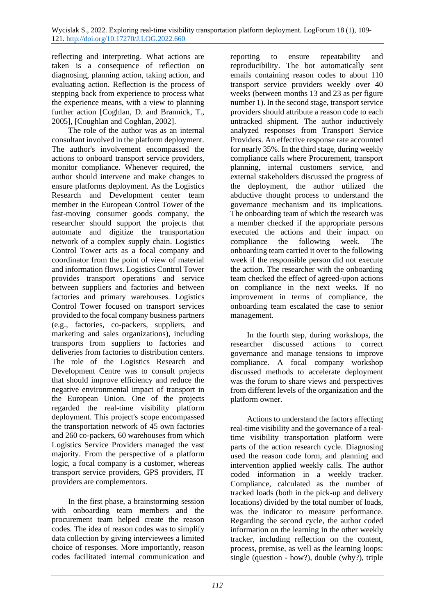reflecting and interpreting. What actions are taken is a consequence of reflection on diagnosing, planning action, taking action, and evaluating action. Reflection is the process of stepping back from experience to process what the experience means, with a view to planning further action [Coghlan, D. and Brannick, T., 2005], [Coughlan and Coghlan, 2002].

The role of the author was as an internal consultant involved in the platform deployment. The author's involvement encompassed the actions to onboard transport service providers, monitor compliance. Whenever required, the author should intervene and make changes to ensure platforms deployment. As the Logistics Research and Development center team member in the European Control Tower of the fast-moving consumer goods company, the researcher should support the projects that automate and digitize the transportation network of a complex supply chain. Logistics Control Tower acts as a focal company and coordinator from the point of view of material and information flows. Logistics Control Tower provides transport operations and service between suppliers and factories and between factories and primary warehouses. Logistics Control Tower focused on transport services provided to the focal company business partners (e.g., factories, co-packers, suppliers, and marketing and sales organizations), including transports from suppliers to factories and deliveries from factories to distribution centers. The role of the Logistics Research and Development Centre was to consult projects that should improve efficiency and reduce the negative environmental impact of transport in the European Union. One of the projects regarded the real-time visibility platform deployment. This project's scope encompassed the transportation network of 45 own factories and 260 co-packers, 60 warehouses from which Logistics Service Providers managed the vast majority. From the perspective of a platform logic, a focal company is a customer, whereas transport service providers, GPS providers, IT providers are complementors.

In the first phase, a brainstorming session with onboarding team members and the procurement team helped create the reason codes. The idea of reason codes was to simplify data collection by giving interviewees a limited choice of responses. More importantly, reason codes facilitated internal communication and reporting to ensure repeatability and reproducibility. The bot automatically sent emails containing reason codes to about 110 transport service providers weekly over 40 weeks (between months 13 and 23 as per figure number 1). In the second stage, transport service providers should attribute a reason code to each untracked shipment. The author inductively analyzed responses from Transport Service Providers. An effective response rate accounted for nearly 35%. In the third stage, during weekly compliance calls where Procurement, transport planning, internal customers service, and external stakeholders discussed the progress of the deployment, the author utilized the abductive thought process to understand the governance mechanism and its implications. The onboarding team of which the research was a member checked if the appropriate persons executed the actions and their impact on compliance the following week. The onboarding team carried it over to the following week if the responsible person did not execute the action. The researcher with the onboarding team checked the effect of agreed-upon actions on compliance in the next weeks. If no improvement in terms of compliance, the onboarding team escalated the case to senior management.

In the fourth step, during workshops, the researcher discussed actions to correct governance and manage tensions to improve compliance. A focal company workshop discussed methods to accelerate deployment was the forum to share views and perspectives from different levels of the organization and the platform owner.

Actions to understand the factors affecting real-time visibility and the governance of a realtime visibility transportation platform were parts of the action research cycle. Diagnosing used the reason code form, and planning and intervention applied weekly calls. The author coded information in a weekly tracker. Compliance, calculated as the number of tracked loads (both in the pick-up and delivery locations) divided by the total number of loads, was the indicator to measure performance. Regarding the second cycle, the author coded information on the learning in the other weekly tracker, including reflection on the content, process, premise, as well as the learning loops: single (question - how?), double (why?), triple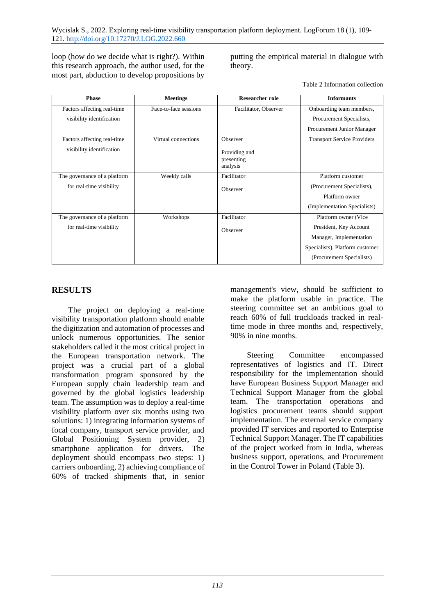loop (how do we decide what is right?). Within this research approach, the author used, for the most part, abduction to develop propositions by putting the empirical material in dialogue with theory.

Table 2 Information collection

| <b>Phase</b>                 | <b>Meetings</b>       | <b>Researcher role</b>                  | <b>Informants</b>                  |
|------------------------------|-----------------------|-----------------------------------------|------------------------------------|
| Factors affecting real-time  | Face-to-face sessions | Facilitator, Observer                   | Onboarding team members,           |
| visibility identification    |                       |                                         | Procurement Specialists,           |
|                              |                       |                                         | Procurement Junior Manager         |
| Factors affecting real-time  | Virtual connections   | Observer                                | <b>Transport Service Providers</b> |
| visibility identification    |                       | Providing and<br>presenting<br>analysis |                                    |
| The governance of a platform | Weekly calls          | Facilitator                             | Platform customer                  |
| for real-time visibility     |                       | Observer                                | (Procurement Specialists),         |
|                              |                       |                                         | Platform owner                     |
|                              |                       |                                         | (Implementation Specialists)       |
| The governance of a platform | Workshops             | Facilitator                             | Platform owner (Vice               |
| for real-time visibility     |                       | Observer                                | President, Key Account             |
|                              |                       |                                         | Manager, Implementation            |
|                              |                       |                                         | Specialists), Platform customer    |
|                              |                       |                                         | (Procurement Specialists)          |

# **RESULTS**

The project on deploying a real-time visibility transportation platform should enable the digitization and automation of processes and unlock numerous opportunities. The senior stakeholders called it the most critical project in the European transportation network. The project was a crucial part of a global transformation program sponsored by the European supply chain leadership team and governed by the global logistics leadership team. The assumption was to deploy a real-time visibility platform over six months using two solutions: 1) integrating information systems of focal company, transport service provider, and Global Positioning System provider, 2) smartphone application for drivers. The deployment should encompass two steps: 1) carriers onboarding, 2) achieving compliance of 60% of tracked shipments that, in senior

management's view, should be sufficient to make the platform usable in practice. The steering committee set an ambitious goal to reach 60% of full truckloads tracked in realtime mode in three months and, respectively, 90% in nine months.

Steering Committee encompassed representatives of logistics and IT. Direct responsibility for the implementation should have European Business Support Manager and Technical Support Manager from the global team. The transportation operations and logistics procurement teams should support implementation. The external service company provided IT services and reported to Enterprise Technical Support Manager. The IT capabilities of the project worked from in India, whereas business support, operations, and Procurement in the Control Tower in Poland (Table 3).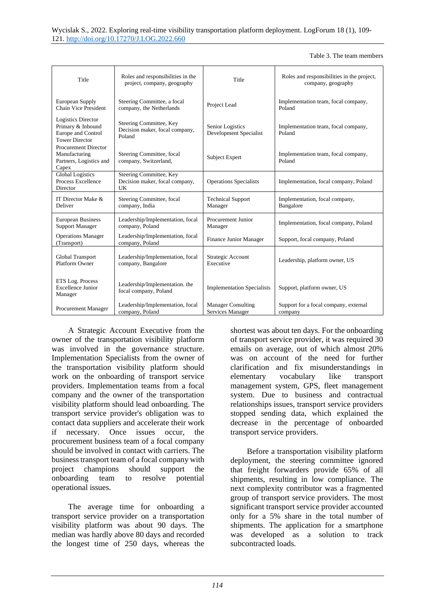Table 3. The team members

| Title                                                                                  | Roles and responsibilities in the<br>project, company, geography    | Title                                         | Roles and responsibilities in the project,<br>company, geography |
|----------------------------------------------------------------------------------------|---------------------------------------------------------------------|-----------------------------------------------|------------------------------------------------------------------|
| European Supply<br>Chain Vice President                                                | Steering Committee, a focal<br>company, the Netherlands             | Project Lead                                  | Implementation team, focal company,<br>Poland                    |
| Logistics Director<br>Primary & Inbound<br>Europe and Control<br><b>Tower Director</b> | Steering Committee, Key<br>Decision maker, focal company,<br>Poland | Senior Logistics<br>Development Specialist    | Implementation team, focal company,<br>Poland                    |
| <b>Procurement Director</b><br>Manufacturing<br>Partners, Logistics and<br>Capex       | Steering Committee, focal<br>company, Switzerland,                  | <b>Subject Expert</b>                         | Implementation team, focal company,<br>Poland                    |
| <b>Global Logistics</b><br>Process Excellence<br>Director                              | Steering Committee, Key<br>Decision maker, focal company,<br>UK     | <b>Operations Specialists</b>                 | Implementation, focal company, Poland                            |
| IT Director Make &<br>Deliver                                                          | Steering Committee, focal<br>company, India                         | <b>Technical Support</b><br>Manager           | Implementation, focal company,<br>Bangalore                      |
| <b>European Business</b><br><b>Support Manager</b>                                     | Leadership/Implementation, focal<br>company, Poland                 | Procurement Junior<br>Manager                 | Implementation, focal company, Poland                            |
| <b>Operations Manager</b><br>(Transport)                                               | Leadership/Implementation, focal<br>company, Poland                 | <b>Finance Junior Manager</b>                 | Support, focal company, Poland                                   |
| Global Transport<br>Platform Owner                                                     | Leadership/Implementation, focal<br>company, Bangalore              | Strategic Account<br>Executive                | Leadership, platform owner, US                                   |
| ETS Log. Process<br><b>Excellence Junior</b><br>Manager                                | Leadership/Implementation. the<br>focal company, Poland             | <b>Implementation Specialists</b>             | Support, platform owner, US                                      |
| Procurement Manager                                                                    | Leadership/Implementation, focal<br>company, Poland                 | <b>Manager Consulting</b><br>Services Manager | Support for a focal company, external<br>company                 |

A Strategic Account Executive from the owner of the transportation visibility platform was involved in the governance structure. Implementation Specialists from the owner of the transportation visibility platform should work on the onboarding of transport service providers. Implementation teams from a focal company and the owner of the transportation visibility platform should lead onboarding. The transport service provider's obligation was to contact data suppliers and accelerate their work if necessary. Once issues occur, the procurement business team of a focal company should be involved in contact with carriers. The business transport team of a focal company with project champions should support the onboarding team to resolve potential operational issues.

The average time for onboarding a transport service provider on a transportation visibility platform was about 90 days. The median was hardly above 80 days and recorded the longest time of 250 days, whereas the shortest was about ten days. For the onboarding of transport service provider, it was required 30 emails on average, out of which almost 20% was on account of the need for further clarification and fix misunderstandings in elementary vocabulary like transport management system, GPS, fleet management system. Due to business and contractual relationships issues, transport service providers stopped sending data, which explained the decrease in the percentage of onboarded transport service providers.

Before a transportation visibility platform deployment, the steering committee ignored that freight forwarders provide 65% of all shipments, resulting in low compliance. The next complexity contributor was a fragmented group of transport service providers. The most significant transport service provider accounted only for a 5% share in the total number of shipments. The application for a smartphone was developed as a solution to track subcontracted loads.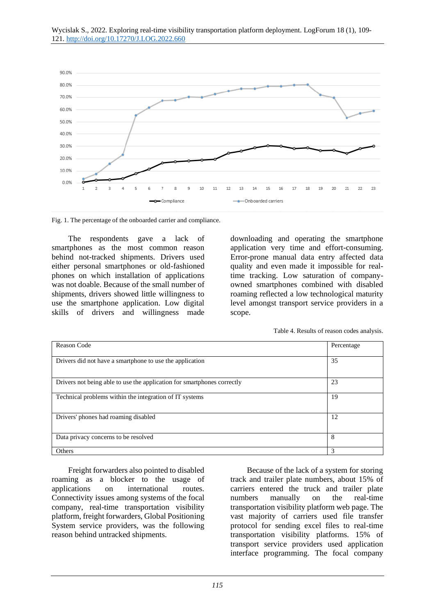



Fig. 1. The percentage of the onboarded carrier and compliance.

The respondents gave a lack of smartphones as the most common reason behind not-tracked shipments. Drivers used either personal smartphones or old-fashioned phones on which installation of applications was not doable. Because of the small number of shipments, drivers showed little willingness to use the smartphone application. Low digital skills of drivers and willingness made

downloading and operating the smartphone application very time and effort-consuming. Error-prone manual data entry affected data quality and even made it impossible for realtime tracking. Low saturation of companyowned smartphones combined with disabled roaming reflected a low technological maturity level amongst transport service providers in a scope.

Table 4. Results of reason codes analysis.

| <b>Reason Code</b>                                                      | Percentage |
|-------------------------------------------------------------------------|------------|
| Drivers did not have a smartphone to use the application                | 35         |
|                                                                         |            |
| Drivers not being able to use the application for smartphones correctly | 23         |
| Technical problems within the integration of IT systems                 | 19         |
|                                                                         |            |
| Drivers' phones had roaming disabled                                    | 12         |
|                                                                         |            |
| Data privacy concerns to be resolved                                    | 8          |
| Others                                                                  | 3          |

Freight forwarders also pointed to disabled roaming as a blocker to the usage of applications on international routes. Connectivity issues among systems of the focal company, real-time transportation visibility platform, freight forwarders, Global Positioning System service providers, was the following reason behind untracked shipments.

Because of the lack of a system for storing track and trailer plate numbers, about 15% of carriers entered the truck and trailer plate numbers manually on the real-time transportation visibility platform web page. The vast majority of carriers used file transfer protocol for sending excel files to real-time transportation visibility platforms. 15% of transport service providers used application interface programming. The focal company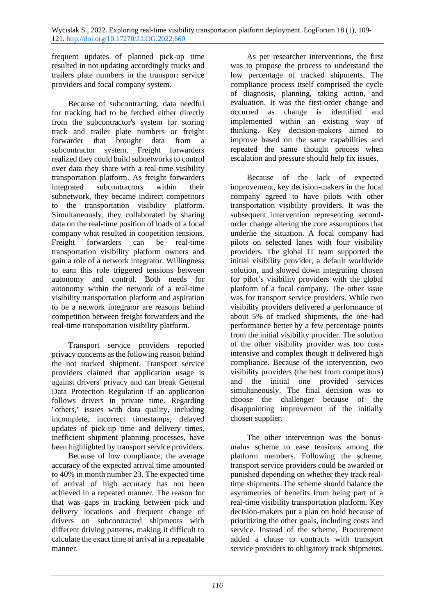frequent updates of planned pick-up time resulted in not updating accordingly trucks and trailers plate numbers in the transport service providers and focal company system.

Because of subcontracting, data needful for tracking had to be fetched either directly from the subcontractor's system for storing track and trailer plate numbers or freight forwarder that brought data from a subcontractor system. Freight forwarders realized they could build subnetworks to control over data they share with a real-time visibility transportation platform. As freight forwarders integrated subcontractors within their subnetwork, they became indirect competitors to the transportation visibility platform. Simultaneously, they collaborated by sharing data on the real-time position of loads of a focal company what resulted in coopetition tensions. Freight forwarders can be real-time transportation visibility platform owners and gain a role of a network integrator. Willingness to earn this role triggered tensions between autonomy and control. Both needs for autonomy within the network of a real-time visibility transportation platform and aspiration to be a network integrator are reasons behind competition between freight forwarders and the real-time transportation visibility platform.

Transport service providers reported privacy concerns as the following reason behind the not tracked shipment. Transport service providers claimed that application usage is against drivers' privacy and can break General Data Protection Regulation if an application follows drivers in private time. Regarding "others," issues with data quality, including incomplete, incorrect timestamps, delayed updates of pick-up time and delivery times, inefficient shipment planning processes, have been highlighted by transport service providers.

Because of low compliance, the average accuracy of the expected arrival time amounted to 40% in month number 23. The expected time of arrival of high accuracy has not been achieved in a repeated manner. The reason for that was gaps in tracking between pick and delivery locations and frequent change of drivers on subcontracted shipments with different driving patterns, making it difficult to calculate the exact time of arrival in a repeatable manner.

As per researcher interventions, the first was to propose the process to understand the low percentage of tracked shipments. The compliance process itself comprised the cycle of diagnosis, planning, taking action, and evaluation. It was the first-order change and occurred as change is identified and implemented within an existing way of thinking. Key decision-makers aimed to improve based on the same capabilities and repeated the same thought process when escalation and pressure should help fix issues.

Because of the lack of expected improvement, key decision-makers in the focal company agreed to have pilots with other transportation visibility providers. It was the subsequent intervention representing secondorder change altering the core assumptions that underlie the situation. A focal company had pilots on selected lanes with four visibility providers. The global IT team supported the initial visibility provider, a default worldwide solution, and slowed down integrating chosen for pilot's visibility providers with the global platform of a focal company. The other issue was for transport service providers. While two visibility providers delivered a performance of about 5% of tracked shipments, the one had performance better by a few percentage points from the initial visibility provider. The solution of the other visibility provider was too costintensive and complex though it delivered high compliance. Because of the intervention, two visibility providers (the best from competitors) and the initial one provided services simultaneously. The final decision was to choose the challenger because of the disappointing improvement of the initially chosen supplier.

The other intervention was the bonusmalus scheme to ease tensions among the platform members. Following the scheme, transport service providers could be awarded or punished depending on whether they track realtime shipments. The scheme should balance the asymmetries of benefits from being part of a real-time visibility transportation platform. Key decision-makers put a plan on hold because of prioritizing the other goals, including costs and service. Instead of the scheme, Procurement added a clause to contracts with transport service providers to obligatory track shipments.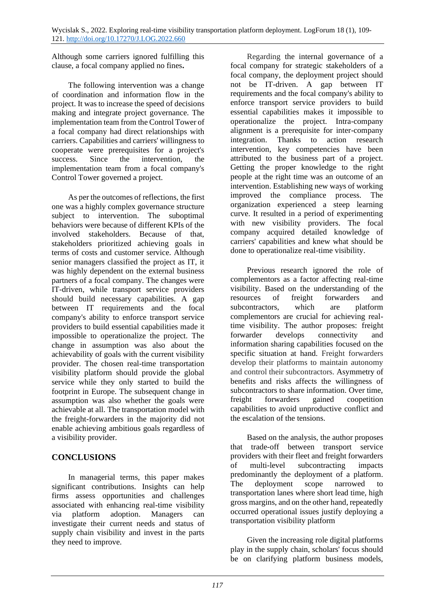Although some carriers ignored fulfilling this clause, a focal company applied no fines**.** 

The following intervention was a change of coordination and information flow in the project. It was to increase the speed of decisions making and integrate project governance. The implementation team from the Control Tower of a focal company had direct relationships with carriers. Capabilities and carriers' willingness to cooperate were prerequisites for a project's success. Since the intervention, the implementation team from a focal company's Control Tower governed a project.

As per the outcomes of reflections, the first one was a highly complex governance structure subject to intervention. The suboptimal behaviors were because of different KPIs of the involved stakeholders. Because of that, stakeholders prioritized achieving goals in terms of costs and customer service. Although senior managers classified the project as IT, it was highly dependent on the external business partners of a focal company. The changes were IT-driven, while transport service providers should build necessary capabilities. A gap between IT requirements and the focal company's ability to enforce transport service providers to build essential capabilities made it impossible to operationalize the project. The change in assumption was also about the achievability of goals with the current visibility provider. The chosen real-time transportation visibility platform should provide the global service while they only started to build the footprint in Europe. The subsequent change in assumption was also whether the goals were achievable at all. The transportation model with the freight-forwarders in the majority did not enable achieving ambitious goals regardless of a visibility provider.

# **CONCLUSIONS**

In managerial terms, this paper makes significant contributions. Insights can help firms assess opportunities and challenges associated with enhancing real-time visibility via platform adoption. Managers can investigate their current needs and status of supply chain visibility and invest in the parts they need to improve.

Regarding the internal governance of a focal company for strategic stakeholders of a focal company, the deployment project should not be IT-driven. A gap between IT requirements and the focal company's ability to enforce transport service providers to build essential capabilities makes it impossible to operationalize the project. Intra-company alignment is a prerequisite for inter-company integration. Thanks to action research intervention, key competencies have been attributed to the business part of a project. Getting the proper knowledge to the right people at the right time was an outcome of an intervention. Establishing new ways of working improved the compliance process. The organization experienced a steep learning curve. It resulted in a period of experimenting with new visibility providers. The focal company acquired detailed knowledge of carriers' capabilities and knew what should be done to operationalize real-time visibility.

Previous research ignored the role of complementors as a factor affecting real-time visibility. Based on the understanding of the resources of freight forwarders and subcontractors, which are platform complementors are crucial for achieving realtime visibility. The author proposes: freight forwarder develops connectivity and information sharing capabilities focused on the specific situation at hand. Freight forwarders develop their platforms to maintain autonomy and control their subcontractors. Asymmetry of benefits and risks affects the willingness of subcontractors to share information. Over time, freight forwarders gained coopetition capabilities to avoid unproductive conflict and the escalation of the tensions.

Based on the analysis, the author proposes that trade-off between transport service providers with their fleet and freight forwarders of multi-level subcontracting impacts predominantly the deployment of a platform. The deployment scope narrowed to transportation lanes where short lead time, high gross margins, and on the other hand, repeatedly occurred operational issues justify deploying a transportation visibility platform

Given the increasing role digital platforms play in the supply chain, scholars' focus should be on clarifying platform business models,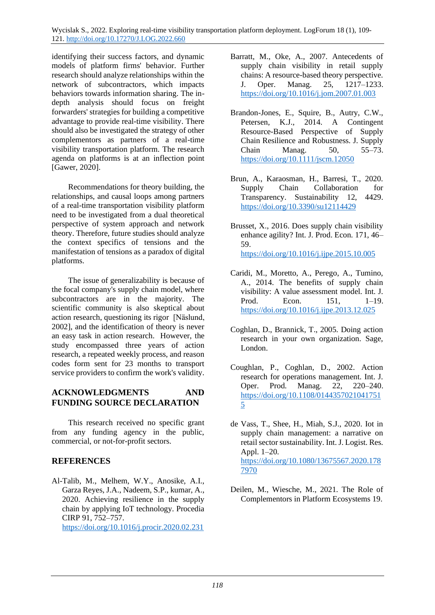identifying their success factors, and dynamic models of platform firms' behavior. Further research should analyze relationships within the network of subcontractors, which impacts behaviors towards information sharing. The indepth analysis should focus on freight forwarders' strategies for building a competitive advantage to provide real-time visibility. There should also be investigated the strategy of other complementors as partners of a real-time visibility transportation platform. The research agenda on platforms is at an inflection point [Gawer, 2020].

Recommendations for theory building, the relationships, and causal loops among partners of a real-time transportation visibility platform need to be investigated from a dual theoretical perspective of system approach and network theory. Therefore, future studies should analyze the context specifics of tensions and the manifestation of tensions as a paradox of digital platforms.

The issue of generalizability is because of the focal company's supply chain model, where subcontractors are in the majority. The scientific community is also skeptical about action research, questioning its rigor [Näslund, 2002], and the identification of theory is never an easy task in action research. However, the study encompassed three years of action research, a repeated weekly process, and reason codes form sent for 23 months to transport service providers to confirm the work's validity.

#### **ACKNOWLEDGMENTS AND FUNDING SOURCE DECLARATION**

This research received no specific grant from any funding agency in the public, commercial, or not-for-profit sectors.

# **REFERENCES**

Al-Talib, M., Melhem, W.Y., Anosike, A.I., Garza Reyes, J.A., Nadeem, S.P., kumar, A., 2020. Achieving resilience in the supply chain by applying IoT technology. Procedia CIRP 91, 752–757. <https://doi.org/10.1016/j.procir.2020.02.231>

- Barratt, M., Oke, A., 2007. Antecedents of supply chain visibility in retail supply chains: A resource-based theory perspective. J. Oper. Manag. 25, 1217–1233. <https://doi.org/10.1016/j.jom.2007.01.003>
- Brandon-Jones, E., Squire, B., Autry, C.W., Petersen, K.J., 2014. A Contingent Resource-Based Perspective of Supply Chain Resilience and Robustness. J. Supply Chain Manag. 50, 55–73. <https://doi.org/10.1111/jscm.12050>
- Brun, A., Karaosman, H., Barresi, T., 2020. Supply Chain Collaboration for Transparency. Sustainability 12, 4429. <https://doi.org/10.3390/su12114429>
- Brusset, X., 2016. Does supply chain visibility enhance agility? Int. J. Prod. Econ. 171, 46– 59. <https://doi.org/10.1016/j.ijpe.2015.10.005>
- Caridi, M., Moretto, A., Perego, A., Tumino, A., 2014. The benefits of supply chain visibility: A value assessment model. Int. J. Prod. Econ. 151, 1–19. <https://doi.org/10.1016/j.ijpe.2013.12.025>
- Coghlan, D., Brannick, T., 2005. Doing action research in your own organization. Sage, London.
- Coughlan, P., Coghlan, D., 2002. Action research for operations management. Int. J. Oper. Prod. Manag. 22, 220–240. [https://doi.org/10.1108/0144357021041751](https://doi.org/10.1108/01443570210417515) [5](https://doi.org/10.1108/01443570210417515)
- de Vass, T., Shee, H., Miah, S.J., 2020. Iot in supply chain management: a narrative on retail sector sustainability. Int. J. Logist. Res. Appl. 1–20. [https://doi.org/10.1080/13675567.2020.178](https://doi.org/10.1080/13675567.2020.1787970) [7970](https://doi.org/10.1080/13675567.2020.1787970)
- Deilen, M., Wiesche, M., 2021. The Role of Complementors in Platform Ecosystems 19.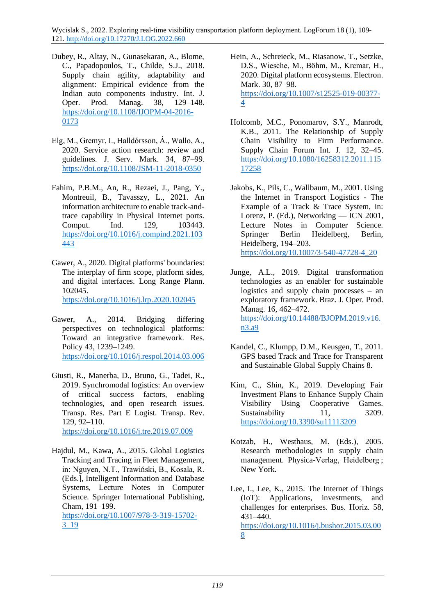- Dubey, R., Altay, N., Gunasekaran, A., Blome, C., Papadopoulos, T., Childe, S.J., 2018. Supply chain agility, adaptability and alignment: Empirical evidence from the Indian auto components industry. Int. J. Oper. Prod. Manag. 38, 129–148. [https://doi.org/10.1108/IJOPM-04-2016-](https://doi.org/10.1108/IJOPM-04-2016-0173) [0173](https://doi.org/10.1108/IJOPM-04-2016-0173)
- Elg, M., Gremyr, I., Halldórsson, Á., Wallo, A., 2020. Service action research: review and guidelines. J. Serv. Mark. 34, 87–99. <https://doi.org/10.1108/JSM-11-2018-0350>
- Fahim, P.B.M., An, R., Rezaei, J., Pang, Y., Montreuil, B., Tavasszy, L., 2021. An information architecture to enable track-andtrace capability in Physical Internet ports. Comput. Ind. 129, 103443. [https://doi.org/10.1016/j.compind.2021.103](https://doi.org/10.1016/j.compind.2021.103443) [443](https://doi.org/10.1016/j.compind.2021.103443)
- Gawer, A., 2020. Digital platforms' boundaries: The interplay of firm scope, platform sides, and digital interfaces. Long Range Plann. 102045.

<https://doi.org/10.1016/j.lrp.2020.102045>

- Gawer, A., 2014. Bridging differing perspectives on technological platforms: Toward an integrative framework. Res. Policy 43, 1239–1249. <https://doi.org/10.1016/j.respol.2014.03.006>
- Giusti, R., Manerba, D., Bruno, G., Tadei, R., 2019. Synchromodal logistics: An overview of critical success factors, enabling technologies, and open research issues. Transp. Res. Part E Logist. Transp. Rev. 129, 92–110. <https://doi.org/10.1016/j.tre.2019.07.009>
- Hajdul, M., Kawa, A., 2015. Global Logistics Tracking and Tracing in Fleet Management, in: Nguyen, N.T., Trawiński, B., Kosala, R. (Eds.], Intelligent Information and Database Systems, Lecture Notes in Computer Science. Springer International Publishing, Cham, 191–199.

[https://doi.org/10.1007/978-3-319-15702-](https://doi.org/10.1007/978-3-319-15702-3_19) [3\\_19](https://doi.org/10.1007/978-3-319-15702-3_19)

- Hein, A., Schreieck, M., Riasanow, T., Setzke, D.S., Wiesche, M., Böhm, M., Krcmar, H., 2020. Digital platform ecosystems. Electron. Mark. 30, 87–98. [https://doi.org/10.1007/s12525-019-00377-](https://doi.org/10.1007/s12525-019-00377-4) [4](https://doi.org/10.1007/s12525-019-00377-4)
- Holcomb, M.C., Ponomarov, S.Y., Manrodt, K.B., 2011. The Relationship of Supply Chain Visibility to Firm Performance. Supply Chain Forum Int. J. 12, 32–45. [https://doi.org/10.1080/16258312.2011.115](https://doi.org/10.1080/16258312.2011.11517258) [17258](https://doi.org/10.1080/16258312.2011.11517258)
- Jakobs, K., Pils, C., Wallbaum, M., 2001. Using the Internet in Transport Logistics - The Example of a Track & Trace System, in: Lorenz, P. (Ed.), Networking — ICN 2001, Lecture Notes in Computer Science. Springer Berlin Heidelberg, Berlin, Heidelberg, 194–203. [https://doi.org/10.1007/3-540-47728-4\\_20](https://doi.org/10.1007/3-540-47728-4_20)
- Junge, A.L., 2019. Digital transformation technologies as an enabler for sustainable logistics and supply chain processes – an exploratory framework. Braz. J. Oper. Prod. Manag. 16, 462–472. [https://doi.org/10.14488/BJOPM.2019.v16.](https://doi.org/10.14488/BJOPM.2019.v16.n3.a9) [n3.a9](https://doi.org/10.14488/BJOPM.2019.v16.n3.a9)
- Kandel, C., Klumpp, D.M., Keusgen, T., 2011. GPS based Track and Trace for Transparent and Sustainable Global Supply Chains 8.
- Kim, C., Shin, K., 2019. Developing Fair Investment Plans to Enhance Supply Chain Visibility Using Cooperative Games. Sustainability 11, 3209. <https://doi.org/10.3390/su11113209>
- Kotzab, H., Westhaus, M. (Eds.), 2005. Research methodologies in supply chain management. Physica-Verlag, Heidelberg ; New York.
- Lee, I., Lee, K., 2015. The Internet of Things (IoT): Applications, investments, and challenges for enterprises. Bus. Horiz. 58, 431–440.

[https://doi.org/10.1016/j.bushor.2015.03.00](https://doi.org/10.1016/j.bushor.2015.03.008) [8](https://doi.org/10.1016/j.bushor.2015.03.008)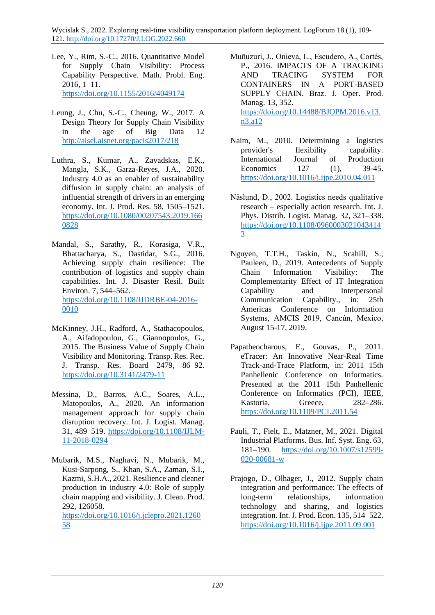- Lee, Y., Rim, S.-C., 2016. Quantitative Model for Supply Chain Visibility: Process Capability Perspective. Math. Probl. Eng. 2016, 1–11. <https://doi.org/10.1155/2016/4049174>
- Leung, J., Chu, S.-C., Cheung, W., 2017. A Design Theory for Supply Chain Visibility in the age of Big Data 12 <http://aisel.aisnet.org/pacis2017/218>
- Luthra, S., Kumar, A., Zavadskas, E.K., Mangla, S.K., Garza-Reyes, J.A., 2020. Industry 4.0 as an enabler of sustainability diffusion in supply chain: an analysis of influential strength of drivers in an emerging economy. Int. J. Prod. Res. 58, 1505–1521. [https://doi.org/10.1080/00207543.2019.166](https://doi.org/10.1080/00207543.2019.1660828) [0828](https://doi.org/10.1080/00207543.2019.1660828)
- Mandal, S., Sarathy, R., Korasiga, V.R., Bhattacharya, S., Dastidar, S.G., 2016. Achieving supply chain resilience: The contribution of logistics and supply chain capabilities. Int. J. Disaster Resil. Built Environ. 7, 544–562. [https://doi.org/10.1108/IJDRBE-04-2016-](https://doi.org/10.1108/IJDRBE-04-2016-0010) [0010](https://doi.org/10.1108/IJDRBE-04-2016-0010)
- McKinney, J.H., Radford, A., Stathacopoulos, A., Aifadopoulou, G., Giannopoulos, G., 2015. The Business Value of Supply Chain Visibility and Monitoring. Transp. Res. Rec. J. Transp. Res. Board 2479, 86–92. <https://doi.org/10.3141/2479-11>
- Messina, D., Barros, A.C., Soares, A.L., Matopoulos, A., 2020. An information management approach for supply chain disruption recovery. Int. J. Logist. Manag. 31, 489–519. [https://doi.org/10.1108/IJLM-](https://doi.org/10.1108/IJLM-11-2018-0294)[11-2018-0294](https://doi.org/10.1108/IJLM-11-2018-0294)
- Mubarik, M.S., Naghavi, N., Mubarik, M., Kusi-Sarpong, S., Khan, S.A., Zaman, S.I., Kazmi, S.H.A., 2021. Resilience and cleaner production in industry 4.0: Role of supply chain mapping and visibility. J. Clean. Prod. 292, 126058. [https://doi.org/10.1016/j.jclepro.2021.1260](https://doi.org/10.1016/j.jclepro.2021.126058)

[58](https://doi.org/10.1016/j.jclepro.2021.126058)

- Muñuzuri, J., Onieva, L., Escudero, A., Cortés, P., 2016. IMPACTS OF A TRACKING AND TRACING SYSTEM FOR CONTAINERS IN A PORT-BASED SUPPLY CHAIN. Braz. J. Oper. Prod. Manag. 13, 352. [https://doi.org/10.14488/BJOPM.2016.v13.](https://doi.org/10.14488/BJOPM.2016.v13.n3.a12) [n3.a12](https://doi.org/10.14488/BJOPM.2016.v13.n3.a12)
- Naim, M., 2010. Determining a logistics provider's flexibility capability. International Journal of Production Economics 127 (1), 39-45. <https://doi.org/10.1016/j.ijpe.2010.04.011>
- Näslund, D., 2002. Logistics needs qualitative research – especially action research. Int. J. Phys. Distrib. Logist. Manag. 32, 321–338. [https://doi.org/10.1108/0960003021043414](https://doi.org/10.1108/09600030210434143) [3](https://doi.org/10.1108/09600030210434143)
- Nguyen, T.T.H., Taskin, N., Scahill, S., Pauleen, D., 2019. Antecedents of Supply Chain Information Visibility: The Complementarity Effect of IT Integration Capability and Interpersonal Communication Capability., in: 25th Americas Conference on Information Systems, AMCIS 2019, Cancún, Mexico, August 15-17, 2019.
- Papatheocharous, E., Gouvas, P., 2011. eTracer: An Innovative Near-Real Time Track-and-Trace Platform, in: 2011 15th Panhellenic Conference on Informatics. Presented at the 2011 15th Panhellenic Conference on Informatics (PCI), IEEE, Kastoria, Greece, 282–286. <https://doi.org/10.1109/PCI.2011.54>
- Pauli, T., Fielt, E., Matzner, M., 2021. Digital Industrial Platforms. Bus. Inf. Syst. Eng. 63, 181–190. [https://doi.org/10.1007/s12599-](https://doi.org/10.1007/s12599-020-00681-w) [020-00681-w](https://doi.org/10.1007/s12599-020-00681-w)
- Prajogo, D., Olhager, J., 2012. Supply chain integration and performance: The effects of long-term relationships, information technology and sharing, and logistics integration. Int. J. Prod. Econ. 135, 514–522. <https://doi.org/10.1016/j.ijpe.2011.09.001>